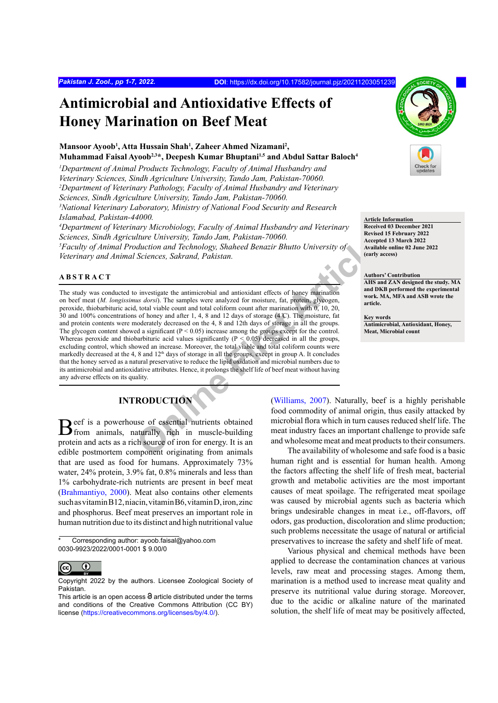# **Antimicrobial and Antioxidative Effects of Honey Marination on Beef Meat**

## **Mansoor Ayoob1 , Atta Hussain Shah1 , Zaheer Ahmed Nizamani2 , Muhammad Faisal Ayoob<sup>2,3\*</sup>, Deepesh Kumar Bhuptani<sup>1,5</sup> and Abdul Sattar Baloch<sup>4</sup>**

<sup>1</sup>Department of Animal Products Technology, Faculty of Animal Husbandry and *Veterinary Sciences, Sindh Agriculture University, Tando Jam, Pakistan-70060. 2 Department of Veterinary Pathology, Faculty of Animal Husbandry and Veterinary Sciences, Sindh Agriculture University, Tando Jam, Pakistan-70060. 3 National Veterinary Laboratory, Ministry of National Food Security and Research* 

*Islamabad, Pakistan-44000.*

*4 Department of Veterinary Microbiology, Faculty of Animal Husbandry and Veterinary Sciences, Sindh Agriculture University, Tando Jam, Pakistan-70060.*

*5 Faculty of Animal Production and Technology, Shaheed Benazir Bhutto University of Veterinary and Animal Sciences, Sakrand, Pakistan.*

## **ABSTRACT**



**Article Information Received 03 December 2021 Revised 15 February 2022 Accepted 13 March 2022 Available online 02 June 2022 (early access)**

## **Authors' Contribution**

**AHS and ZAN designed the study. MA and DKB performed the experimental work. MA, MFA and ASB wrote the article.**

**Key words Antimicrobial, Antioxidant, Honey, Meat, Microbial count**

The Conversity, Tanao Jam, Pakistan-70000.<br>
Marital duction and Technology, Shaheed Benazir Bhutto University of<br>
Sciences, Sakrand, Pakistan.<br>
Sciences, Sakrand, Pakistan.<br>
Sciences, Sakrand, Pakistan.<br>
Sciences Article ( The study was conducted to investigate the antimicrobial and antioxidant effects of honey marination on beef meat (*M. longissimus dorsi*). The samples were analyzed for moisture, fat, protein, glycogen, peroxide, thiobarbituric acid, total viable count and total coliform count after marination with 0, 10, 20, 30 and 100% concentrations of honey and after 1, 4, 8 and 12 days of storage (4 ̊C). The moisture, fat and protein contents were moderately decreased on the 4, 8 and 12th days of storage in all the groups. The glycogen content showed a significant  $(P < 0.05)$  increase among the groups except for the control. Whereas peroxide and thiobarbituric acid values significantly  $(P < 0.05)$  decreased in all the groups, excluding control, which showed an increase. Moreover, the total viable and total coliform counts were markedly decreased at the 4, 8 and 12<sup>th</sup> days of storage in all the groups, except in group A. It concludes that the honey served as a natural preservative to reduce the lipid oxidation and microbial numbers due to its antimicrobial and antioxidative attributes. Hence, it prolongs the shelf life of beef meat without having any adverse effects on its quality.

# **INTRODUCTION**

Beef is a powerhouse of essential nutrients obtained from animals, naturally rich in muscle-building protein and acts as a rich source of iron for energy. It is an edible postmortem component originating from animals that are used as food for humans. Approximately 73% water, 24% protein, 3.9% fat, 0.8% minerals and less than 1% carbohydrate-rich nutrients are present in beef meat [\(Brahmantiyo, 2000\)](#page-6-0). Meat also contains other elements such as vitamin B12, niacin, vitamin B6, vitamin D, iron, zinc and phosphorus. Beef meat preserves an important role in human nutrition due to its distinct and high nutritional value

Corresponding author: ayoob.faisal@yahoo.com 0030-9923/2022/0001-0001 \$ 9.00/0



Copyright 2022 by the authors. Licensee Zoological Society of Pakistan.

(Williams, 2007). Naturally, beef is a highly perishable food commodity of animal origin, thus easily attacked by microbial flora which in turn causes reduced shelf life. The meat industry faces an important challenge to provide safe and wholesome meat and meat products to their consumers.

The availability of wholesome and safe food is a basic human right and is essential for human health. Among the factors affecting the shelf life of fresh meat, bacterial growth and metabolic activities are the most important causes of meat spoilage. The refrigerated meat spoilage was caused by microbial agents such as bacteria which brings undesirable changes in meat i.e., off-flavors, off odors, gas production, discoloration and slime production; such problems necessitate the usage of natural or artificial preservatives to increase the safety and shelf life of meat.

Various physical and chemical methods have been applied to decrease the contamination chances at various levels, raw meat and processing stages. Among them, marination is a method used to increase meat quality and preserve its nutritional value during storage. Moreover, due to the acidic or alkaline nature of the marinated solution, the shelf life of meat may be positively affected,

This article is an open access  $\Theta$  article distributed under the terms and conditions of the Creative Commons Attribution (CC BY) license (<https://creativecommons.org/licenses/by/4.0/>).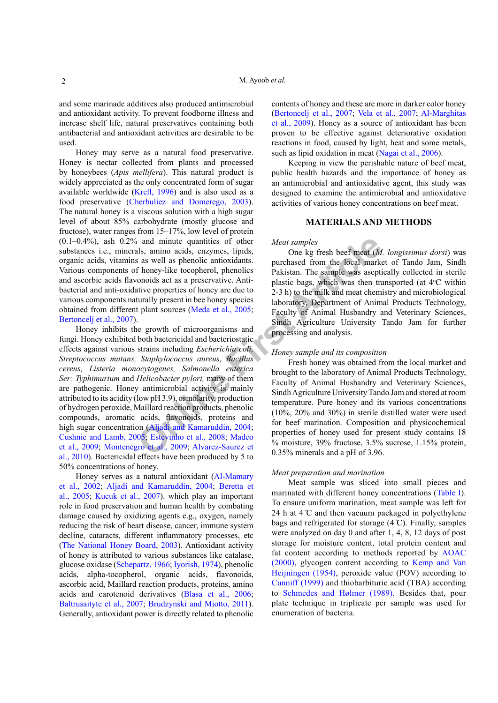M. Ayoob *et al.*

and some marinade additives also produced antimicrobial and antioxidant activity. To prevent foodborne illness and increase shelf life, natural preservatives containing both antibacterial and antioxidant activities are desirable to be used.

Honey may serve as a natural food preservative. Honey is nectar collected from plants and processed by honeybees (*Apis mellifera*). This natural product is widely appreciated as the only concentrated form of sugar available worldwide ([Krell, 1996\)](#page-6-1) and is also used as a food preservative ([Cherbuliez and Domerego, 2003](#page-6-2)). The natural honey is a viscous solution with a high sugar level of about 85% carbohydrate (mostly glucose and fructose), water ranges from 15–17%, low level of protein  $(0.1-0.4\%)$ , ash  $0.2\%$  and minute quantities of other substances i.e., minerals, amino acids, enzymes, lipids, organic acids, vitamins as well as phenolic antioxidants. Various components of honey-like tocopherol, phenolics and ascorbic acids flavonoids act as a preservative. Antibacterial and anti-oxidative properties of honey are due to various components naturally present in bee honey species obtained from different plant sources (Meda et al., 2005; [Bertoncelj et al., 2007](#page-6-4)).

and minute quantities of other<br>
als, amino acids, enzymes, lipids,<br>
as as well as phenolic antioxidants.<br> **Finding Homeonly conduct article** coopherol, phenolics<br> **Pakistan. The sample was asseption**<br>
ond as a preservative Honey inhibits the growth of microorganisms and fungi. Honey exhibited both bactericidal and bacteriostatic effects against various strains including *Escherichia coli, Streptococcus mutans, Staphylococcus aureus, Bacillus cereus, Listeria monocytogenes, Salmonella enterica Ser: Typhimurium* and *Helicobacter pylori,* many of them are pathogenic. Honey antimicrobial activity is mainly attributed to its acidity (low pH 3.9), osmolarity, production of hydrogen peroxide, Maillard reaction products, phenolic compounds, aromatic acids, flavonoids, proteins and high sugar concentration (Aljadi and Kamaruddin, 2004; [Cushnie and Lamb, 2005](#page-6-5); Estevinho et al., 2008; Madeo [et al., 2009;](#page-6-7) [Montenegro et al., 2009;](#page-6-8) Alvarez-Saurez et [al., 2010](#page-5-1)). Bactericidal effects have been produced by 5 to 50% concentrations of honey.

Honey serves as a natural antioxidant ([Al-Mamary](#page-5-2) [et al., 2002](#page-5-2); [Aljadi and Kamaruddin, 2004](#page-5-0); [Beretta et](#page-6-9) [al., 2005](#page-6-9); Kucuk et al., 2007). which play an important role in food preservation and human health by combating damage caused by oxidizing agents e.g., oxygen, namely reducing the risk of heart disease, cancer, immune system decline, cataracts, different inflammatory processes, etc [\(The National Honey Board, 2003\)](#page-7-1). Antioxidant activity of honey is attributed to various substances like catalase, glucose oxidase [\(Schepartz, 1966](#page-7-2); [Iyorish, 1974\)](#page-6-10), phenolic acids, alpha-tocopherol, organic acids, flavonoids, ascorbic acid, Maillard reaction products, proteins, amino acids and carotenoid derivatives [\(Blasa et al., 2006](#page-6-11); [Baltrusaityte et al., 2007](#page-5-3); [Brudzynski and Miotto, 2011](#page-6-12)). Generally, antioxidant power is directly related to phenolic contents of honey and these are more in darker color honey [\(Bertoncelj et al., 2007](#page-6-4); [Vela et al., 2007](#page-7-3); [Al-Marghitas](#page-5-4) [et al., 2009](#page-5-4)). Honey as a source of antioxidant has been proven to be effective against deteriorative oxidation reactions in food, caused by light, heat and some metals, such as lipid oxidation in meat [\(Nagai et al., 2006\)](#page-7-4).

Keeping in view the perishable nature of beef meat, public health hazards and the importance of honey as an antimicrobial and antioxidative agent, this study was designed to examine the antimicrobial and antioxidative activities of various honey concentrations on beef meat.

### **MATERIALS AND METHODS**

#### *Meat samples*

One kg fresh beef meat (*M. longissimus dorsi*) was purchased from the local market of Tando Jam, Sindh Pakistan. The sample was aseptically collected in sterile plastic bags, which was then transported (at 4°C within 2-3 h) to the milk and meat chemistry and microbiological laboratory, Department of Animal Products Technology, Faculty of Animal Husbandry and Veterinary Sciences, Sindh Agriculture University Tando Jam for further processing and analysis.

## *Honey sample and its composition*

Fresh honey was obtained from the local market and brought to the laboratory of Animal Products Technology, Faculty of Animal Husbandry and Veterinary Sciences, Sindh Agriculture University Tando Jam and stored at room temperature. Pure honey and its various concentrations (10%, 20% and 30%) in sterile distilled water were used for beef marination. Composition and physicochemical properties of honey used for present study contains 18 % moisture, 39% fructose, 3.5% sucrose, 1.15% protein, 0.35% minerals and a pH of 3.96.

#### *Meat preparation and marination*

Meat sample was sliced into small pieces and marinated with different honey concentrations [\(Table I](#page-2-0)). To ensure uniform marination, meat sample was left for 24 h at  $4^\circ$ C and then vacuum packaged in polyethylene bags and refrigerated for storage  $(4 \text{ C})$ . Finally, samples were analyzed on day 0 and after 1, 4, 8, 12 days of post storage for moisture content, total protein content and fat content according to methods reported by [AOAC](#page-5-5) [\(2000\)](#page-5-5), glycogen content according to [Kemp and Van](#page-6-13) [Heijningen \(1954\)](#page-6-13), peroxide value (POV) according to [Cunniff \(1999\)](#page-6-14) and thiobarbituric acid (TBA) according to Schmedes and Hølmer (1989). Besides that, pour plate technique in triplicate per sample was used for enumeration of bacteria.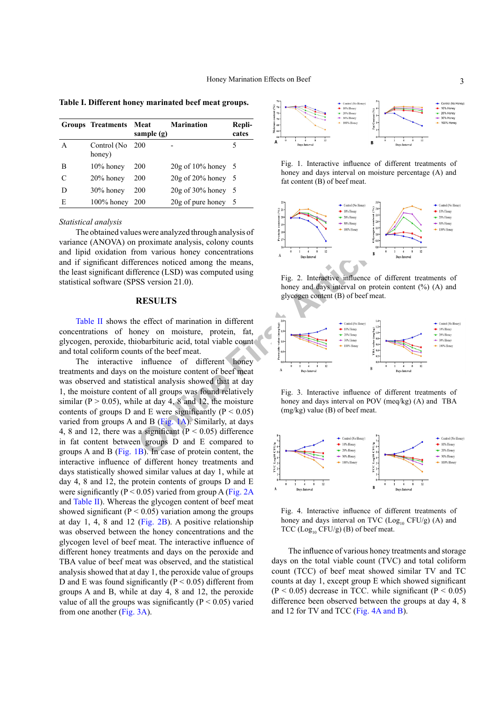<span id="page-2-0"></span>**Table I. Different honey marinated beef meat groups.**

|   | <b>Groups Treatments</b> | Meat<br>sample (g) | <b>Marination</b>       | Repli-<br>cates |
|---|--------------------------|--------------------|-------------------------|-----------------|
| A | Control (No<br>honey)    | 200                |                         | 5               |
| В | 10% honey                | 200                | $20g$ of $10\%$ honey 5 |                 |
| C | 20% honey                | 200                | $20g$ of $20\%$ honey 5 |                 |
| D | $30\%$ honey             | 200                | $20g$ of $30\%$ honey   | - 5             |
| Е | $100\%$ honey            | 200                | 20g of pure honey       | - 5             |

#### *Statistical analysis*

The obtained values were analyzed through analysis of variance (ANOVA) on proximate analysis, colony counts and lipid oxidation from various honey concentrations and if significant differences noticed among the means, the least significant difference (LSD) was computed using statistical software (SPSS version 21.0).

#### **RESULTS**

[Table II](#page-3-0) shows the effect of marination in different concentrations of honey on moisture, protein, fat, glycogen, peroxide, thiobarbituric acid, total viable count and total coliform counts of the beef meat.

**Proximate analysis, colony counts**<br>
Some various honey concentrations<br>
Ference noticed among the means,<br>
ESC version 21.0).<br>
SS version 21.0).<br>
SS version 21.0).<br>
SS version 21.0).<br>
SS version 21.0).<br>
SS version 21.0).<br> The interactive influence of different honey treatments and days on the moisture content of beef meat was observed and statistical analysis showed that at day 1, the moisture content of all groups was found relatively similar ( $P > 0.05$ ), while at day 4, 8 and 12, the moisture contents of groups D and E were significantly ( $P < 0.05$ ) varied from groups A and B (Fig. 1A). Similarly, at days 4, 8 and 12, there was a significant ( $P < 0.05$ ) difference in fat content between groups D and E compared to groups A and B [\(Fig. 1](#page-2-1)B). In case of protein content, the interactive influence of different honey treatments and days statistically showed similar values at day 1, while at day 4, 8 and 12, the protein contents of groups D and E were significantly ( $P < 0.05$ ) varied from group A ([Fig. 2A](#page-2-2)) and [Table II](#page-3-0)). Whereas the glycogen content of beef meat showed significant ( $P < 0.05$ ) variation among the groups at day 1, 4, 8 and 12 ([Fig. 2](#page-2-2)B). A positive relationship was observed between the honey concentrations and the glycogen level of beef meat. The interactive influence of different honey treatments and days on the peroxide and TBA value of beef meat was observed, and the statistical analysis showed that at day 1, the peroxide value of groups D and E was found significantly ( $P < 0.05$ ) different from groups A and B, while at day 4, 8 and 12, the peroxide value of all the groups was significantly ( $P < 0.05$ ) varied from one another [\(Fig. 3A\)](#page-2-3).



<span id="page-2-1"></span>Fig. 1. Interactive influence of different treatments of honey and days interval on moisture percentage (A) and fat content (B) of beef meat.



<span id="page-2-2"></span>Fig. 2. Interactive influence of different treatments of honey and days interval on protein content (%) (A) and glycogen content (B) of beef meat.



<span id="page-2-3"></span>Fig. 3. Interactive influence of different treatments of honey and days interval on POV (meq/kg) (A) and TBA (mg/kg) value (B) of beef meat.



<span id="page-2-4"></span>Fig. 4. Interactive influence of different treatments of honey and days interval on TVC  $(Log_{10} CFU/g)$  (A) and TCC  $(Log<sub>10</sub> CFU/g)$  (B) of beef meat.

The influence of various honey treatments and storage days on the total viable count (TVC) and total coliform count (TCC) of beef meat showed similar TV and TC counts at day 1, except group E which showed significant  $(P \le 0.05)$  decrease in TCC, while significant  $(P \le 0.05)$ difference been observed between the groups at day 4, 8 and 12 for TV and TCC ([Fig. 4A](#page-2-4) and B).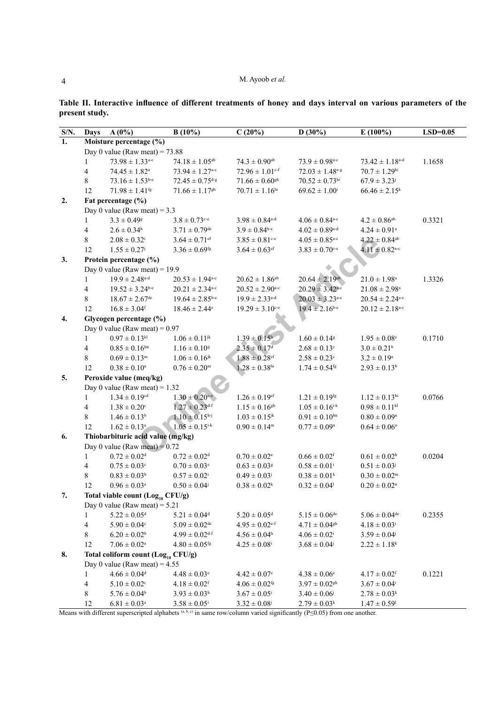<span id="page-3-0"></span>

| Table II. Interactive influence of different treatments of honey and days interval on various parameters of the |  |  |  |  |  |
|-----------------------------------------------------------------------------------------------------------------|--|--|--|--|--|
| present study.                                                                                                  |  |  |  |  |  |

| $\mathbf{S/N}.$ | Days                                           | $A(0\%)$                          | $B(10\%)$                        | C(20%)                          | D(30%)                          | $E(100\%)$                      | $LSD=0.05$ |  |  |  |
|-----------------|------------------------------------------------|-----------------------------------|----------------------------------|---------------------------------|---------------------------------|---------------------------------|------------|--|--|--|
| 1.              |                                                | Moisture percentage (%)           |                                  |                                 |                                 |                                 |            |  |  |  |
|                 | Day 0 value (Raw meat) = $73.88$               |                                   |                                  |                                 |                                 |                                 |            |  |  |  |
|                 | 1                                              | $73.98 \pm 1.33^{\text{a-c}}$     | $74.18 \pm 1.05^{ab}$            | $74.3 \pm 0.90$ <sup>ab</sup>   | $73.9 \pm 0.98^{\text{a-c}}$    | $73.42 \pm 1.18$ <sup>a-d</sup> | 1.1658     |  |  |  |
|                 | 4                                              | $74.45\pm1.82^{\rm a}$            | $73.94 \pm 1.27$ <sup>a-c</sup>  | $72.96 \pm 1.01$ <sup>c-f</sup> | $72.03 \pm 1.48$ <sup>e-g</sup> | $70.7 \pm 1.29$ <sup>hi</sup>   |            |  |  |  |
|                 | 8                                              | $73.16 \pm 1.53$ <sup>b-e</sup>   | $72.45 \pm 0.75$ <sup>d-g</sup>  | $71.66 \pm 0.60$ <sup>gh</sup>  | $70.52 \pm 0.73$ <sup>hi</sup>  | $67.9 \pm 3.23$                 |            |  |  |  |
|                 | 12                                             | $71.98 \pm 1.41$ <sup>fg</sup>    | $71.66 \pm 1.17$ <sup>gh</sup>   | $70.71 \pm 1.16$ <sup>hi</sup>  | $69.62 \pm 1.00^{\mathrm{i}}$   | $66.46 \pm 2.15^k$              |            |  |  |  |
| 2.              |                                                | Fat percentage (%)                |                                  |                                 |                                 |                                 |            |  |  |  |
|                 |                                                | Day 0 value (Raw meat) = $3.3$    |                                  |                                 |                                 |                                 |            |  |  |  |
|                 | 1                                              | $3.3 \pm 0.49$ <sup>g</sup>       | $3.8 \pm 0.73$ <sup>c-e</sup>    | $3.98 \pm 0.84$ <sup>a-d</sup>  | $4.06 \pm 0.84^{\text{a-c}}$    | $4.2 \pm 0.86$ <sup>ab</sup>    | 0.3321     |  |  |  |
|                 | 4                                              | $2.6 \pm 0.34^{\rm h}$            | $3.71 \pm 0.79$ <sup>de</sup>    | $3.9 \pm 0.84^{\text{b-e}}$     | $4.02 \pm 0.89$ <sup>a-d</sup>  | $4.24 \pm 0.91^{\text{a}}$      |            |  |  |  |
|                 | 8                                              | $2.08 \pm 0.32^{\rm i}$           | $3.64 \pm 0.71$ ef               | $3.85 \pm 0.81^{\circ -e}$      | $4.05 \pm 0.85^{\text{a-c}}$    | $4.22 \pm 0.84$ <sup>ab</sup>   |            |  |  |  |
|                 | 12                                             | $1.55 \pm 0.27$                   | $3.36 \pm 0.69$ <sup>fg</sup>    | $3.64 \pm 0.63$ <sup>ef</sup>   | $3.83 \pm 0.70$ <sup>c-e</sup>  | $4.11 \pm 0.82$ <sup>a-c</sup>  |            |  |  |  |
| 3.              |                                                | Protein percentage (%)            |                                  |                                 |                                 |                                 |            |  |  |  |
|                 |                                                | Day 0 value (Raw meat) = $19.9$   |                                  |                                 |                                 |                                 |            |  |  |  |
|                 | $\mathbf{1}$                                   | $19.9 \pm 2.48$ <sup>a-d</sup>    | $20.53 \pm 1.94^{\text{a-c}}$    | $20.62 \pm 1.86^{ab}$           | $20.64 \pm 2.19$ <sup>ab</sup>  | $21.0 \pm 1.98$ <sup>a</sup>    | 1.3326     |  |  |  |
|                 | 4                                              | $19.52 \pm 3.24$ b-e              | $20.21 \pm 2.34$ <sup>a-c</sup>  | $20.52 \pm 2.90^{\text{a-c}}$   | $20.29 \pm 3.42^{\text{a-c}}$   | $21.08 \pm 2.98^a$              |            |  |  |  |
|                 | 8                                              | $18.67 \pm 2.67$ <sup>de</sup>    | $19.64 \pm 2.85^{\text{b-e}}$    | $19.9 \pm 2.33$ <sup>a-d</sup>  | $20.03 \pm 3.23^{\text{a-c}}$   | $20.54 \pm 2.24$ <sup>a-c</sup> |            |  |  |  |
|                 | 12                                             | $16.8 \pm 3.04$ <sup>f</sup>      | $18.46 \pm 2.44$ <sup>e</sup>    | $19.29 \pm 3.10^{\circ}$        | $19.4 \pm 2.16^{b-e}$           | $20.12 \pm 2.18$ <sup>a-c</sup> |            |  |  |  |
| 4.              |                                                | Glycogen percentage (%)           |                                  |                                 |                                 |                                 |            |  |  |  |
|                 |                                                | Day 0 value (Raw meat) = $0.97$   |                                  |                                 |                                 |                                 |            |  |  |  |
|                 | 1                                              | $0.97 \pm 0.13^{kl}$              | $1.06 \pm 0.11^{jk}$             | $1.39 \pm 0.15^{\rm h}$         | $1.60 \pm 0.14$ <sup>g</sup>    | $1.95 \pm 0.08^e$               | 0.1710     |  |  |  |
|                 | 4                                              | $0.85 \pm 0.16^{\text{lm}}$       | $1.16 \pm 0.10^{ij}$             | $2.35 \pm 0.17$ <sup>d</sup>    | $2.68 \pm 0.13^{\circ}$         | $3.0 \pm 0.21^b$                |            |  |  |  |
|                 | 8                                              | $0.69 \pm 0.13^m$                 | $1.06 \pm 0.16^{jk}$             | $1.88 \pm 0.28$ ef              | $2.58 \pm 0.23^{\circ}$         | $3.2 \pm 0.19^a$                |            |  |  |  |
|                 | 12                                             | $0.38\pm0.10^{\rm n}$             | $0.76 \pm 0.20^m$                | $1.28 \pm 0.38$ hi              | $1.74 \pm 0.54$ <sup>fg</sup>   | $2.93 \pm 0.13^b$               |            |  |  |  |
| 5.              |                                                | Peroxide value (meq/kg)           |                                  |                                 |                                 |                                 |            |  |  |  |
|                 |                                                | Day 0 value (Raw meat) = $1.32$   |                                  |                                 |                                 |                                 |            |  |  |  |
|                 | $\mathbf{1}$                                   | $1.34 \pm 0.19$ <sup>cd</sup>     | $1.30 \pm 0.20^{\circ -}$        | $1.26 \pm 0.19$ <sup>ef</sup>   | $1.21 \pm 0.19^{fg}$            | $1.12 \pm 0.13$ hi              | 0.0766     |  |  |  |
|                 | 4                                              | $1.38 \pm 0.20^{\circ}$           | $1.27 \pm 0.23$ <sup>d-f</sup>   | $1.15 \pm 0.16$ <sup>gh</sup>   | $1.05 \pm 0.16^{i-k}$           | $0.98 \pm 0.11^{kl}$            |            |  |  |  |
|                 | 8                                              | $1.46 \pm 0.13^b$                 | $1.10 \pm 0.15^{\rm h\text{-}j}$ | $1.03 \pm 0.15^{jk}$            | $0.91 \pm 0.10^{\text{lm}}$     | $0.80 \pm 0.09$ <sup>n</sup>    |            |  |  |  |
|                 | 12                                             | $1.62 \pm 0.13^a$                 | $1.05 \pm 0.15^{i-k}$            | $0.90 \pm 0.14^m$               | $0.77 \pm 0.09^{\rm n}$         | $0.64 \pm 0.06$ °               |            |  |  |  |
| 6.              |                                                | Thiobarbituric acid value (mg/kg) |                                  |                                 |                                 |                                 |            |  |  |  |
|                 |                                                | Day 0 value (Raw meat) = $0.72$   |                                  |                                 |                                 |                                 |            |  |  |  |
|                 | 1                                              | $0.72 \pm 0.02$ <sup>d</sup>      | $0.72 \pm 0.02$ <sup>d</sup>     | $0.70 \pm 0.02^e$               | $0.66 \pm 0.02$ <sup>f</sup>    | $0.61 \pm 0.02^{\rm h}$         | 0.0204     |  |  |  |
|                 | 4                                              | $0.75 \pm 0.03^{\circ}$           | $0.70 \pm 0.03^e$                | $0.63 \pm 0.03$ <sup>g</sup>    | $0.58 \pm 0.01^{\rm i}$         | $0.51 \pm 0.03^{\rm j}$         |            |  |  |  |
|                 | 8                                              | $0.83 \pm 0.03^b$                 | $0.57 \pm 0.02^{\rm i}$          | $0.49 \pm 0.03^{\rm j}$         | $0.38 \pm 0.01^k$               | $0.30 \pm 0.02^m$               |            |  |  |  |
|                 | 12                                             | $0.96 \pm 0.03^{\rm a}$           | $0.50 \pm 0.04^{\circ}$          | $0.38 \pm 0.02^k$               | $0.32 \pm 0.04$ <sup>1</sup>    | $0.20 \pm 0.02$ <sup>n</sup>    |            |  |  |  |
| 7.              | Total viable count $(Log_{10} CFU/g)$          |                                   |                                  |                                 |                                 |                                 |            |  |  |  |
|                 |                                                | Day 0 value (Raw meat) = $5.21$   |                                  |                                 |                                 |                                 |            |  |  |  |
|                 | 1                                              | $5.22 \pm 0.05$ <sup>d</sup>      | $5.21\pm0.04^{\rm d}$            | $5.20\pm0.05^{\text{d}}$        | $5.15\pm0.06^{\text{de}}$       | $5.06 \pm 0.04$ <sup>de</sup>   | 0.2355     |  |  |  |
|                 | 4                                              | $5.90 \pm 0.04$ <sup>c</sup>      | $5.09\pm0.02^{\text{de}}$        | $4.95 \pm 0.02$ <sup>e-f</sup>  | $4.71 \pm 0.04$ <sup>gh</sup>   | $4.18 \pm 0.03^{\rm i}$         |            |  |  |  |
|                 | 8                                              | $6.20 \pm 0.02^b$                 | $4.99 \pm 0.02$ <sup>d-f</sup>   | $4.56 \pm 0.04$ <sup>h</sup>    | $4.06 \pm 0.02^{\rm i}$         | $3.59 \pm 0.04^{\circ}$         |            |  |  |  |
|                 | 12                                             | $7.06 \pm 0.02^{\rm a}$           | $4.80 \pm 0.05$ <sup>fg</sup>    | $4.25 \pm 0.08^{\rm i}$         | $3.68 \pm 0.04^{\circ}$         | $2.22 \pm 1.18$ <sup>k</sup>    |            |  |  |  |
| 8.              | Total coliform count (Log <sub>10</sub> CFU/g) |                                   |                                  |                                 |                                 |                                 |            |  |  |  |
|                 | Day 0 value (Raw meat) = $4.55$                |                                   |                                  |                                 |                                 |                                 |            |  |  |  |
|                 | 1                                              | $4.66 \pm 0.04$ <sup>d</sup>      | $4.48 \pm 0.03^e$                | $4.42 \pm 0.07$ <sup>e</sup>    | $4.38 \pm 0.06^e$               | $4.17 \pm 0.02$ <sup>f</sup>    | 0.1221     |  |  |  |
|                 | 4                                              | $5.10\pm0.02^{\rm c}$             | $4.18 \pm 0.02$ <sup>f</sup>     | $4.06 \pm 0.02$ <sup>fg</sup>   | $3.97 \pm 0.02$ <sup>gh</sup>   | $3.67 \pm 0.04^{\text{i}}$      |            |  |  |  |
|                 | 8                                              | $5.76 \pm 0.04^b$                 | $3.93 \pm 0.03^{\rm h}$          | $3.67 \pm 0.05^{\rm i}$         | $3.40 \pm 0.06$                 | $2.78 \pm 0.03^k$               |            |  |  |  |
|                 | 12                                             | $6.81 \pm 0.03^a$                 | $3.58 \pm 0.05^{\rm i}$          | $3.32 \pm 0.08^{j}$             | $2.79 \pm 0.03^k$               | $1.47 \pm 0.59$ <sup>1</sup>    |            |  |  |  |

Means with different superscripted alphabets (a, b,c) in same row/column varied significantly (P≤0.05) from one another.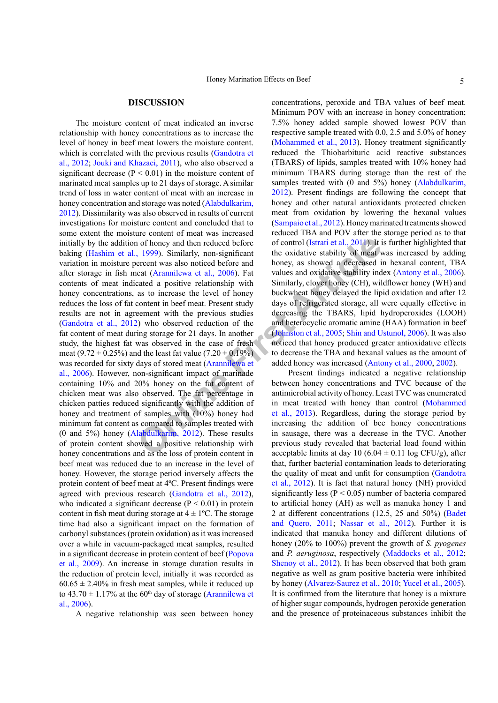#### **DISCUSSION**

**Examp[le](#page-6-19) 1** in the neduced before of control (Istrati et al., 2014). It is 1999). Similarly, non-significant the oxidative stability of meat vercent was also noticed before and honey, as showed a decreased in each (Aramil The moisture content of meat indicated an inverse relationship with honey concentrations as to increase the level of honey in beef meat lowers the moisture content. which is correlated with the previous results ([Gandotra et](#page-6-15) [al., 2012;](#page-6-15) [Jouki and Khazaei, 2011\)](#page-6-16), who also observed a significant decrease ( $P < 0.01$ ) in the moisture content of marinated meat samples up to 21 days of storage. A similar trend of loss in water content of meat with an increase in honey concentration and storage was noted [\(Alabdulkarim,](#page-5-6) [2012\)](#page-5-6). Dissimilarity was also observed in results of current investigations for moisture content and concluded that to some extent the moisture content of meat was increased initially by the addition of honey and then reduced before baking ([Hashim et al., 1999](#page-6-17)). Similarly, non-significant variation in moisture percent was also noticed before and after storage in fish meat (Arannilewa et al., 2006). Fat contents of meat indicated a positive relationship with honey concentrations, as to increase the level of honey reduces the loss of fat content in beef meat. Present study results are not in agreement with the previous studies [\(Gandotra et al., 2012\)](#page-6-15) who observed reduction of the fat content of meat during storage for 21 days. In another study, the highest fat was observed in the case of fresh meat (9.72  $\pm$  0.25%) and the least fat value (7.20  $\pm$  0.19%) was recorded for sixty days of stored meat (Arannilewa et [al., 2006](#page-5-7)). However, non-significant impact of marinade containing 10% and 20% honey on the fat content of chicken meat was also observed. The fat percentage in chicken patties reduced significantly with the addition of honey and treatment of samples with (10%) honey had minimum fat content as compared to samples treated with (0 and 5%) honey (Alabdulkarim, 2012). These results of protein content showed a positive relationship with honey concentrations and as the loss of protein content in beef meat was reduced due to an increase in the level of honey. However, the storage period inversely affects the protein content of beef meat at 4ºC. Present findings were agreed with previous research ([Gandotra et al., 2012](#page-6-15)), who indicated a significant decrease  $(P < 0.01)$  in protein content in fish meat during storage at  $4 \pm 1$ °C. The storage time had also a significant impact on the formation of carbonyl substances (protein oxidation) as it was increased over a while in vacuum-packaged meat samples, resulted in a significant decrease in protein content of beef [\(Popova](#page-7-5) [et al., 2009\)](#page-7-5). An increase in storage duration results in the reduction of protein level, initially it was recorded as  $60.65 \pm 2.40\%$  in fresh meat samples, while it reduced up to  $43.70 \pm 1.17\%$  at the 60<sup>th</sup> day of storage ([Arannilewa et](#page-5-7) [al., 2006](#page-5-7)).

A negative relationship was seen between honey

concentrations, peroxide and TBA values of beef meat. Minimum POV with an increase in honey concentration; 7.5% honey added sample showed lowest POV than respective sample treated with 0.0, 2.5 and 5.0% of honey [\(Mohammed et al., 2013](#page-6-18)). Honey treatment significantly reduced the Thiobarbituric acid reactive substances (TBARS) of lipids, samples treated with 10% honey had minimum TBARS during storage than the rest of the samples treated with (0 and 5%) honey ([Alabdulkarim,](#page-5-6) [2012](#page-5-6)). Present findings are following the concept that honey and other natural antioxidants protected chicken meat from oxidation by lowering the hexanal values [\(Sampaio et al., 2012\)](#page-7-6). Honey marinated treatments showed reduced TBA and POV after the storage period as to that of control (Istrati et al., 2011). It is further highlighted that the oxidative stability of meat was increased by adding honey, as showed a decreased in hexanal content, TBA values and oxidative stability index ([Antony et al., 2006](#page-5-8)). Similarly, clover honey (CH), wildflower honey (WH) and buckwheat honey delayed the lipid oxidation and after 12 days of refrigerated storage, all were equally effective in decreasing the TBARS, lipid hydroperoxides (LOOH) and heterocyclic aromatic amine (HAA) formation in beef (Johnston et al., 2005; [Shin and Ustunol, 2006](#page-7-7)). It was also noticed that honey produced greater antioxidative effects to decrease the TBA and hexanal values as the amount of added honey was increased ([Antony et al., 2000,](#page-5-9) [2002\)](#page-5-10).

Present findings indicated a negative relationship between honey concentrations and TVC because of the antimicrobial activity of honey. Least TVC was enumerated in meat treated with honey than control ([Mohammed](#page-6-18) et al., 2013). Regardless, during the storage period by increasing the addition of bee honey concentrations in sausage, there was a decrease in the TVC. Another previous study revealed that bacterial load found within acceptable limits at day 10 (6.04  $\pm$  0.11 log CFU/g), after that, further bacterial contamination leads to deteriorating the quality of meat and unfit for consumption ([Gandotra](#page-6-15) [et al., 2012](#page-6-15)). It is fact that natural honey (NH) provided significantly less ( $P < 0.05$ ) number of bacteria compared to artificial honey (AH) as well as manuka honey 1 and 2 at different concentrations (12.5, 25 and 50%) ([Badet](#page-5-11) [and Quero, 2011](#page-5-11); [Nassar et al., 2012\)](#page-7-8). Further it is indicated that manuka honey and different dilutions of honey (20% to 100%) prevent the growth of *S. pyogenes*  and *P. aeruginosa*, respectively [\(Maddocks et al., 2012](#page-6-21); [Shenoy et al., 2012](#page-7-9)). It has been observed that both gram negative as well as gram positive bacteria were inhibited by honey ([Alvarez-Saurez et al., 2010;](#page-5-1) [Yucel et al., 2005](#page-7-10)). It is confirmed from the literature that honey is a mixture of higher sugar compounds, hydrogen peroxide generation and the presence of proteinaceous substances inhibit the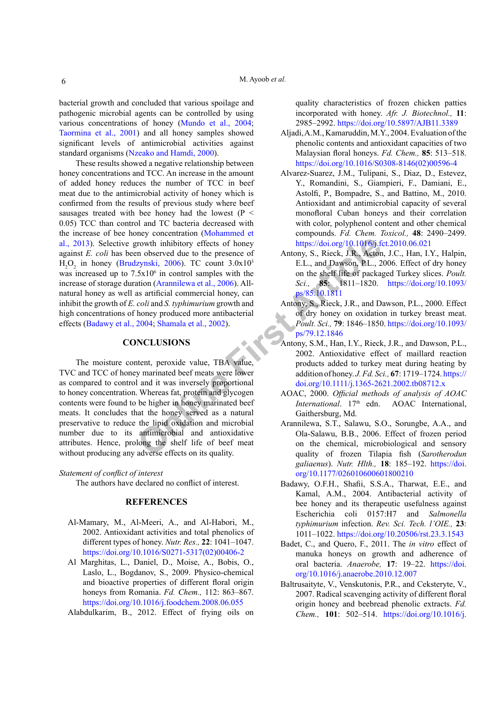bacterial growth and concluded that various spoilage and pathogenic microbial agents can be controlled by using various concentrations of honey [\(Mundo et al., 2004;](#page-6-22) [Taormina et al., 2001](#page-7-11)) and all honey samples showed significant levels of antimicrobial activities against standard organisms ([Nzeako and Hamdi, 2000](#page-7-12)).

These results showed a negative relationship between honey concentrations and TCC. An increase in the amount of added honey reduces the number of TCC in beef meat due to the antimicrobial activity of honey which is confirmed from the results of previous study where beef sausages treated with bee honey had the lowest ( $P \leq$ 0.05) TCC than control and TC bacteria decreased with the increase of bee honey concentration ([Mohammed et](#page-6-18) [al., 2013](#page-6-18)). Selective growth inhibitory effects of honey against *E. coli* has been observed due to the presence of  $H_2O_2$  in honey [\(Brudzynski, 2006](#page-6-23)). TC count 3.0x10<sup>3</sup> was increased up to  $7.5x10<sup>6</sup>$  in control samples with the increase of storage duration (Arannilewa et al., 2006). Allnatural honey as well as artificial commercial honey, can inhibit the growth of *E. coli* and *S. typhimurium* growth and high concentrations of honey produced more antibacterial effects [\(Badawy et al., 2004;](#page-5-12) Shamala et al., 2002).

#### **CONCLUSIONS**

**Online Firs[t](https://doi.org/10.1093/ps/79.12.1846) [Art](https://doi.org/10.1093/ps/85.10.1811)icle** The moisture content, peroxide value, TBA value, TVC and TCC of honey marinated beef meats were lower as compared to control and it was inversely proportional to honey concentration. Whereas fat, protein and glycogen contents were found to be higher in honey marinated beef meats. It concludes that the honey served as a natural preservative to reduce the lipid oxidation and microbial number due to its antimicrobial and antioxidative attributes. Hence, prolong the shelf life of beef meat without producing any adverse effects on its quality.

*Statement of conflict of interest*

The authors have declared no conflict of interest.

## **REFERENCES**

- <span id="page-5-2"></span>Al-Mamary, M., Al-Meeri, A., and Al-Habori, M., 2002. Antioxidant activities and total phenolics of different types of honey. *Nutr. Res.,* **22**: 1041–1047. [https://doi.org/10.1016/S0271-5317\(02\)00406-2](https://doi.org/10.1016/S0271-5317(02)00406-2)
- <span id="page-5-4"></span>Al Marghitas, L., Daniel, D., Moise, A., Bobis, O., Laslo, L., Bogdanov, S., 2009. Physico-chemical and bioactive properties of different floral origin honeys from Romania. *Fd. Chem.,* 112: 863–867. <https://doi.org/10.1016/j.foodchem.2008.06.055>

<span id="page-5-6"></span>Alabdulkarim, B., 2012. Effect of frying oils on

quality characteristics of frozen chicken patties incorporated with honey. *Afr. J. Biotechnol.,* **11**: 2985–2992.<https://doi.org/10.5897/AJB11.3389>

- <span id="page-5-0"></span>Aljadi, A.M., Kamaruddin, M.Y., 2004. Evaluation of the phenolic contents and antioxidant capacities of two Malaysian floral honeys. *Fd. Chem.,* **85**: 513–518. [https://doi.org/10.1016/S0308-8146\(02\)00596-4](https://doi.org/10.1016/S0308-8146(02)00596-4)
- <span id="page-5-1"></span>Alvarez-Suarez, J.M., Tulipani, S., Diaz, D., Estevez, Y., Romandini, S., Giampieri, F., Damiani, E., Astolfi, P., Bompadre, S., and Battino, M., 2010. Antioxidant and antimicrobial capacity of several monofloral Cuban honeys and their correlation with color, polyphenol content and other chemical compounds. *Fd. Chem. Toxicol.,* **48**: 2490–2499. <https://doi.org/10.1016/j.fct.2010.06.021>
- <span id="page-5-8"></span>Antony, S., Rieck, J.R., Acton, J.C., Han, I.Y., Halpin, E.L., and Dawson, P.L., 2006. Effect of dry honey on the shelf life of packaged Turkey slices. *Poult. Sci.,* **85**: 1811–1820. [https://doi.org/10.1093/](https://doi.org/10.1093/ps/85.10.1811) ps/85.10.1811
- <span id="page-5-9"></span>Antony, S., Rieck, J.R., and Dawson, P.L., 2000. Effect of dry honey on oxidation in turkey breast meat. *Poult. Sci.,* **79**: 1846–1850. [https://doi.org/10.1093/](https://doi.org/10.1093/ps/79.12.1846) ps/79.12.1846
- <span id="page-5-10"></span>Antony, S.M., Han, I.Y., Rieck, J.R., and Dawson, P.L., 2002. Antioxidative effect of maillard reaction products added to turkey meat during heating by addition of honey. *J. Fd. Sci.,* **67**: 1719–1724. [https://](https://doi.org/10.1111/j.1365-2621.2002.tb08712.x) [doi.org/10.1111/j.1365-2621.2002.tb08712.x](https://doi.org/10.1111/j.1365-2621.2002.tb08712.x)
- <span id="page-5-5"></span>AOAC, 2000. *Official methods of analysis of AOAC International.* 17<sup>th</sup> edn. AOAC International, Gaithersburg, Md.
- <span id="page-5-7"></span>Arannilewa, S.T., Salawu, S.O., Sorungbe, A.A., and Ola-Salawu, B.B., 2006. Effect of frozen period on the chemical, microbiological and sensory quality of frozen Tilapia fish (*Sarotherodun galiaenus*). *Nutr. Hlth.,* **18**: 185–192. [https://doi.](https://doi.org/10.1177/026010600601800210) [org/10.1177/026010600601800210](https://doi.org/10.1177/026010600601800210)
- <span id="page-5-12"></span>Badawy, O.F.H., Shafii, S.S.A., Tharwat, E.E., and Kamal, A.M., 2004. Antibacterial activity of bee honey and its therapeutic usefulness against Escherichia coli 0157:H7 and *Salmonella typhimurium* infection. *Rev. Sci. Tech. l'OIE.,* **23**: 1011–1022.<https://doi.org/10.20506/rst.23.3.1543>
- <span id="page-5-11"></span>Badet, C., and Quero, F., 2011. The *in vitro* effect of manuka honeys on growth and adherence of oral bacteria. *Anaerobe,* **17**: 19–22. [https://doi.](https://doi.org/10.1016/j.anaerobe.2010.12.007) [org/10.1016/j.anaerobe.2010.12.007](https://doi.org/10.1016/j.anaerobe.2010.12.007)
- <span id="page-5-3"></span>Baltrusaityte, V., Venskutonis, P.R., and Ceksteryte, V., 2007. Radical scavenging activity of different floral origin honey and beebread phenolic extracts. *Fd. Chem.,* **101**: 502–514. [https://doi.org/10.1016/j.](https://doi.org/10.1016/j.foodchem.2006.02.007)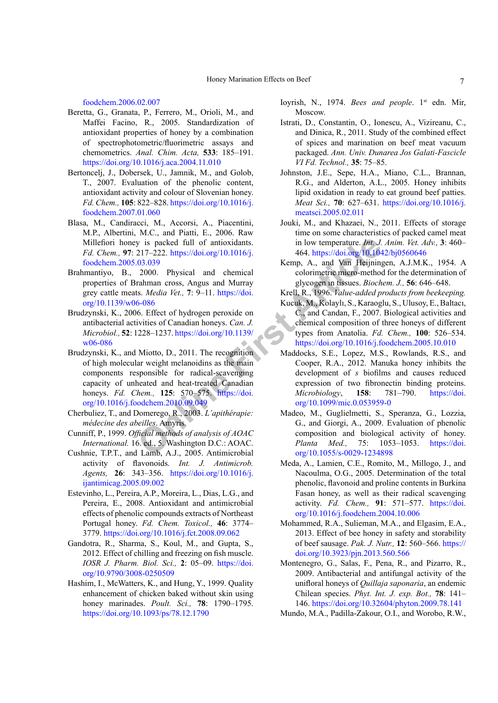[foodchem.2006.02.007](https://doi.org/10.1016/j.foodchem.2006.02.007)

- <span id="page-6-9"></span>Beretta, G., Granata, P., Ferrero, M., Orioli, M., and Maffei Facino, R., 2005. Standardization of antioxidant properties of honey by a combination of spectrophotometric/fluorimetric assays and chemometrics. *Anal. Chim. Acta,* **533**: 185–191. <https://doi.org/10.1016/j.aca.2004.11.010>
- <span id="page-6-4"></span>Bertoncelj, J., Dobersek, U., Jamnik, M., and Golob, T., 2007. Evaluation of the phenolic content, antioxidant activity and colour of Slovenian honey. *Fd. Chem.,* **105**: 822–828. [https://doi.org/10.1016/j.](https://doi.org/10.1016/j.foodchem.2007.01.060) [foodchem.2007.01.060](https://doi.org/10.1016/j.foodchem.2007.01.060)
- <span id="page-6-11"></span>Blasa, M., Candiracci, M., Accorsi, A., Piacentini, M.P., Albertini, M.C., and Piatti, E., 2006. Raw Millefiori honey is packed full of antioxidants. *Fd. Chem.,* **97**: 217–222. https://doi.org/10.1016/j. [foodchem.2005.03.039](https://doi.org/10.1016/j.foodchem.2005.03.039)
- <span id="page-6-0"></span>Brahmantiyo, B., 2000. Physical and chemical properties of Brahman cross, Angus and Murray grey cattle meats. *Media Vet.,* **7**: 9–11. https://doi. [org/10.1139/w06-086](https://doi.org/10.1139/w06-086)
- <span id="page-6-23"></span><span id="page-6-12"></span>Brudzynski, K., 2006. Effect of hydrogen peroxide on antibacterial activities of Canadian honeys. *Can. J. Microbiol.,* **52**: 1228–1237. https://doi.org/10.1139/ [w06-086](https://doi.org/10.1139/w06-086)
- **Solution:** Solution: Th[e](https://doi.org/10.1016/j.foodchem.2010.09.049) Highe[r](https://doi.org/10.1139/w06-086) School Physical International Condition: The Mathematic Condition: The Higher Article Condition: The Higher School Physical and chemical condition: Higher School Physical and chemical condi Brudzynski, K., and Miotto, D., 2011. The recognition of high molecular weight melanoidins as the main components responsible for radical-scavenging capacity of unheated and heat-treated Canadian honeys. *Fd. Chem.,* **125**: 570–575. https://doi. [org/10.1016/j.foodchem.2010.09.049](https://doi.org/10.1016/j.foodchem.2010.09.049)
- <span id="page-6-2"></span>Cherbuliez, T., and Domerego, R., 2003. *L'apithérapie: médecine des abeilles*. Amyris.
- <span id="page-6-14"></span>Cunniff, P., 1999. *Official methods of analysis of AOAC International.* 16. ed., 5. Washington D.C.: AOAC.
- <span id="page-6-5"></span>Cushnie, T.P.T., and Lamb, A.J., 2005. Antimicrobial activity of flavonoids. *Int. J. Antimicrob. Agents,* **26**: 343–356. [https://doi.org/10.1016/j.](https://doi.org/10.1016/j.ijantimicag.2005.09.002) [ijantimicag.2005.09.002](https://doi.org/10.1016/j.ijantimicag.2005.09.002)
- <span id="page-6-6"></span>Estevinho, L., Pereira, A.P., Moreira, L., Dias, L.G., and Pereira, E., 2008. Antioxidant and antimicrobial effects of phenolic compounds extracts of Northeast Portugal honey. *Fd. Chem. Toxicol.,* **46**: 3774– 3779. <https://doi.org/10.1016/j.fct.2008.09.062>
- <span id="page-6-15"></span>Gandotra, R., Sharma, S., Koul, M., and Gupta, S., 2012. Effect of chilling and freezing on fish muscle. *IOSR J. Pharm. Biol. Sci.,* **2**: 05–09. [https://doi.](https://doi.org/10.9790/3008-0250509) [org/10.9790/3008-0250509](https://doi.org/10.9790/3008-0250509)
- <span id="page-6-17"></span>Hashim, I., McWatters, K., and Hung, Y., 1999. Quality enhancement of chicken baked without skin using honey marinades. *Poult. Sci.,* **78**: 1790–1795. <https://doi.org/10.1093/ps/78.12.1790>

<span id="page-6-10"></span>Ioyrish, N., 1974. *Bees and people*. 1<sup>st</sup> edn. Mir, Moscow.

- <span id="page-6-19"></span>Istrati, D., Constantin, O., Ionescu, A., Vizireanu, C., and Dinica, R., 2011. Study of the combined effect of spices and marination on beef meat vacuum packaged. *Ann. Univ. Dunarea Jos Galati-Fascicle VI Fd. Technol.,* **35**: 75–85.
- <span id="page-6-20"></span>Johnston, J.E., Sepe, H.A., Miano, C.L., Brannan, R.G., and Alderton, A.L., 2005. Honey inhibits lipid oxidation in ready to eat ground beef patties. *Meat Sci.,* **70**: 627–631. [https://doi.org/10.1016/j.](https://doi.org/10.1016/j.meatsci.2005.02.011) [meatsci.2005.02.011](https://doi.org/10.1016/j.meatsci.2005.02.011)
- <span id="page-6-16"></span>Jouki, M., and Khazaei, N., 2011. Effects of storage time on some characteristics of packed camel meat in low temperature. *Int. J. Anim. Vet. Adv.,* **3**: 460– 464. <https://doi.org/10.1042/bj0560646>
- <span id="page-6-13"></span>Kemp, A., and Van Heijningen, A.J.M.K., 1954. A colorimetric micro-method for the determination of glycogen in tissues. *Biochem. J.,* **56**: 646–648.
- <span id="page-6-1"></span>Krell, R., 1996. *Value-added products from beekeeping.*
- Kucuk, M., Kolaylı, S., Karaoglu, S., Ulusoy, E., Baltacı, C., and Candan, F., 2007. Biological activities and chemical composition of three honeys of different types from Anatolia. *Fd. Chem.,* **100**: 526–534. <https://doi.org/10.1016/j.foodchem.2005.10.010>
- <span id="page-6-21"></span>Maddocks, S.E., Lopez, M.S., Rowlands, R.S., and Cooper, R.A., 2012. Manuka honey inhibits the development of *s* biofilms and causes reduced expression of two fibronectin binding proteins. *Microbiology*, **158**: 781–790. [https://doi.](https://doi.org/10.1099/mic.0.053959-0) org/10.1099/mic.0.053959-0
- <span id="page-6-7"></span>Madeo, M., Guglielmetti, S., Speranza, G., Lozzia, G., and Giorgi, A., 2009. Evaluation of phenolic composition and biological activity of honey. *Planta Med.,* 75: 1053–1053. [https://doi.](https://doi.org/10.1055/s-0029-1234898) org/10.1055/s-0029-1234898
- <span id="page-6-3"></span>Meda, A., Lamien, C.E., Romito, M., Millogo, J., and Nacoulma, O.G., 2005. Determination of the total phenolic, flavonoid and proline contents in Burkina Fasan honey, as well as their radical scavenging activity. *Fd. Chem.,* **91**: 571–577. [https://doi.](https://doi.org/10.1016/j.foodchem.2004.10.006) [org/10.1016/j.foodchem.2004.10.006](https://doi.org/10.1016/j.foodchem.2004.10.006)
- <span id="page-6-18"></span>Mohammed, R.A., Sulieman, M.A., and Elgasim, E.A., 2013. Effect of bee honey in safety and storability of beef sausage. *Pak. J. Nutr.,* **12**: 560–566. [https://](https://doi.org/10.3923/pjn.2013.560.566) [doi.org/10.3923/pjn.2013.560.566](https://doi.org/10.3923/pjn.2013.560.566)
- <span id="page-6-8"></span>Montenegro, G., Salas, F., Pena, R., and Pizarro, R., 2009. Antibacterial and antifungal activity of the unifloral honeys of *Quillaja saponaria*, an endemic Chilean species. *Phyt. Int. J. exp. Bot.,* **78**: 141– 146. <https://doi.org/10.32604/phyton.2009.78.141>
- <span id="page-6-22"></span>Mundo, M.A., Padilla-Zakour, O.I., and Worobo, R.W.,